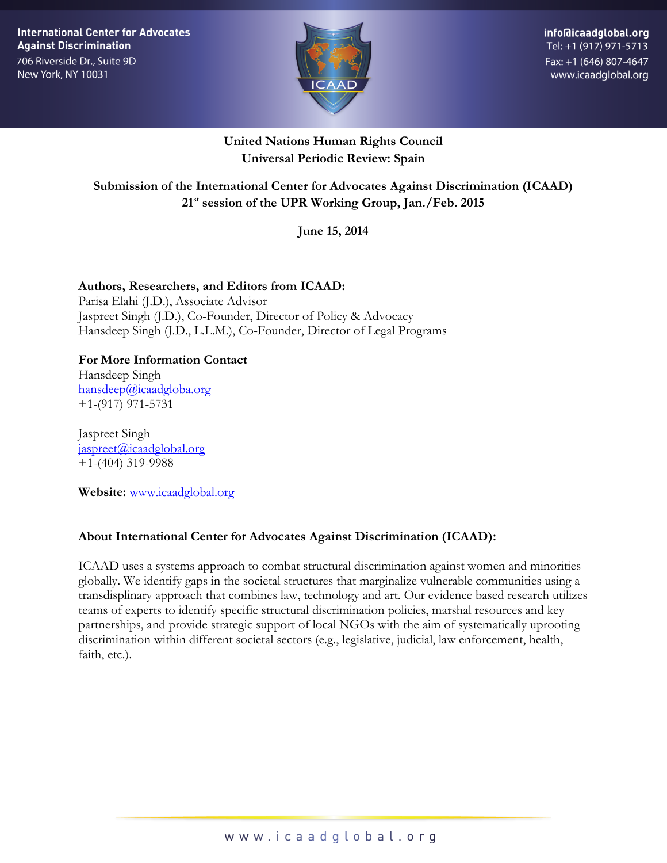**International Center for Advocates Against Discrimination** 

706 Riverside Dr., Suite 9D New York, NY 10031



## **United Nations Human Rights Council Universal Periodic Review: Spain**

## **Submission of the International Center for Advocates Against Discrimination (ICAAD) 21 st session of the UPR Working Group, Jan./Feb. 2015**

**June 15, 2014** 

#### **Authors, Researchers, and Editors from ICAAD:** Parisa Elahi (J.D.), Associate Advisor Jaspreet Singh (J.D.), Co-Founder, Director of Policy & Advocacy Hansdeep Singh (J.D., L.L.M.), Co-Founder, Director of Legal Programs

# **For More Information Contact**

Hansdeep Singh [hansdeep@icaadgloba.org](mailto:hansdeep@icaadgloba.org) +1-(917) 971-5731

Jaspreet Singh [jaspreet@icaadglobal.org](mailto:jaspreet@icaadglobal.org) +1-(404) 319-9988

**Website:** [www.icaadglobal.org](http://www.icaadglobal.org/)

## **About International Center for Advocates Against Discrimination (ICAAD):**

ICAAD uses a systems approach to combat structural discrimination against women and minorities globally. We identify gaps in the societal structures that marginalize vulnerable communities using a transdisplinary approach that combines law, technology and art. Our evidence based research utilizes teams of experts to identify specific structural discrimination policies, marshal resources and key partnerships, and provide strategic support of local NGOs with the aim of systematically uprooting discrimination within different societal sectors (e.g., legislative, judicial, law enforcement, health, faith, etc.).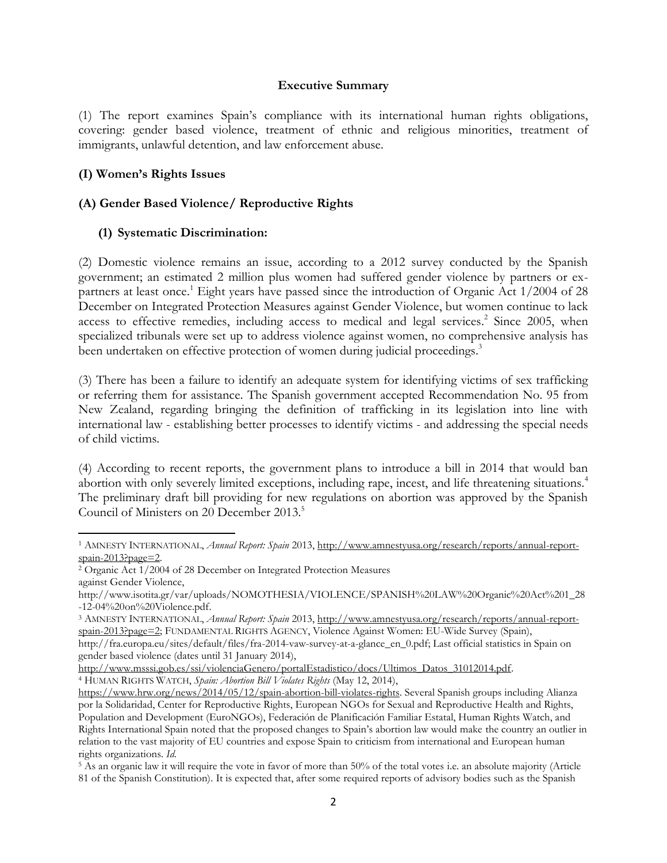#### **Executive Summary**

(1) The report examines Spain's compliance with its international human rights obligations, covering: gender based violence, treatment of ethnic and religious minorities, treatment of immigrants, unlawful detention, and law enforcement abuse.

#### **(I) Women's Rights Issues**

 $\overline{a}$ 

#### **(A) Gender Based Violence/ Reproductive Rights**

#### **(1) Systematic Discrimination:**

(2) Domestic violence remains an issue, according to a 2012 survey conducted by the Spanish government; an estimated 2 million plus women had suffered gender violence by partners or expartners at least once.<sup>1</sup> Eight years have passed since the introduction of Organic Act  $1/2004$  of 28 December on Integrated Protection Measures against Gender Violence, but women continue to lack access to effective remedies, including access to medical and legal services.<sup>2</sup> Since 2005, when specialized tribunals were set up to address violence against women, no comprehensive analysis has been undertaken on effective protection of women during judicial proceedings.<sup>3</sup>

(3) There has been a failure to identify an adequate system for identifying victims of sex trafficking or referring them for assistance. The Spanish government accepted Recommendation No. 95 from New Zealand, regarding bringing the definition of trafficking in its legislation into line with international law - establishing better processes to identify victims - and addressing the special needs of child victims.

(4) According to recent reports, the government plans to introduce a bill in 2014 that would ban abortion with only severely limited exceptions, including rape, incest, and life threatening situations.<sup>4</sup> The preliminary draft bill providing for new regulations on abortion was approved by the Spanish Council of Ministers on 20 December 2013.<sup>5</sup>

<sup>1</sup> AMNESTY INTERNATIONAL, *Annual Report: Spain* 2013, [http://www.amnestyusa.org/research/reports/annual-report](http://www.amnestyusa.org/research/reports/annual-report-spain-2013?page=2)[spain-2013?page=2.](http://www.amnestyusa.org/research/reports/annual-report-spain-2013?page=2)

<sup>2</sup> Organic Act 1/2004 of 28 December on Integrated Protection Measures against Gender Violence,

http://www.isotita.gr/var/uploads/NOMOTHESIA/VIOLENCE/SPANISH%20LAW%20Organic%20Act%201\_28 -12-04%20on%20Violence.pdf.

<sup>3</sup> AMNESTY INTERNATIONAL, *Annual Report: Spain* 2013, [http://www.amnestyusa.org/research/reports/annual-report](http://www.amnestyusa.org/research/reports/annual-report-spain-2013?page=2)[spain-2013?page=2;](http://www.amnestyusa.org/research/reports/annual-report-spain-2013?page=2) FUNDAMENTAL RIGHTS AGENCY, Violence Against Women: EU-Wide Survey (Spain), http://fra.europa.eu/sites/default/files/fra-2014-vaw-survey-at-a-glance\_en\_0.pdf; Last official statistics in Spain on gender based violence (dates until 31 January 2014),

[http://www.msssi.gob.es/ssi/violenciaGenero/portalEstadistico/docs/Ultimos\\_Datos\\_31012014.pdf.](http://www.msssi.gob.es/ssi/violenciaGenero/portalEstadistico/docs/Ultimos_Datos_31012014.pdf) <sup>4</sup> HUMAN RIGHTS WATCH, *Spain: Abortion Bill Violates Rights* (May 12, 2014),

[https://www.hrw.org/news/2014/05/12/spain-abortion-bill-violates-rights.](https://www.hrw.org/news/2014/05/12/spain-abortion-bill-violates-rights) Several Spanish groups including Alianza por la Solidaridad, Center for Reproductive Rights, European NGOs for Sexual and Reproductive Health and Rights, Population and Development (EuroNGOs), Federación de Planificación Familiar Estatal, Human Rights Watch, and Rights International Spain noted that the proposed changes to Spain's abortion law would make the country an outlier in relation to the vast majority of EU countries and expose Spain to criticism from international and European human rights organizations. *Id*.

<sup>5</sup> As an organic law it will require the vote in favor of more than 50% of the total votes i.e. an absolute majority (Article 81 of the Spanish Constitution). It is expected that, after some required reports of advisory bodies such as the Spanish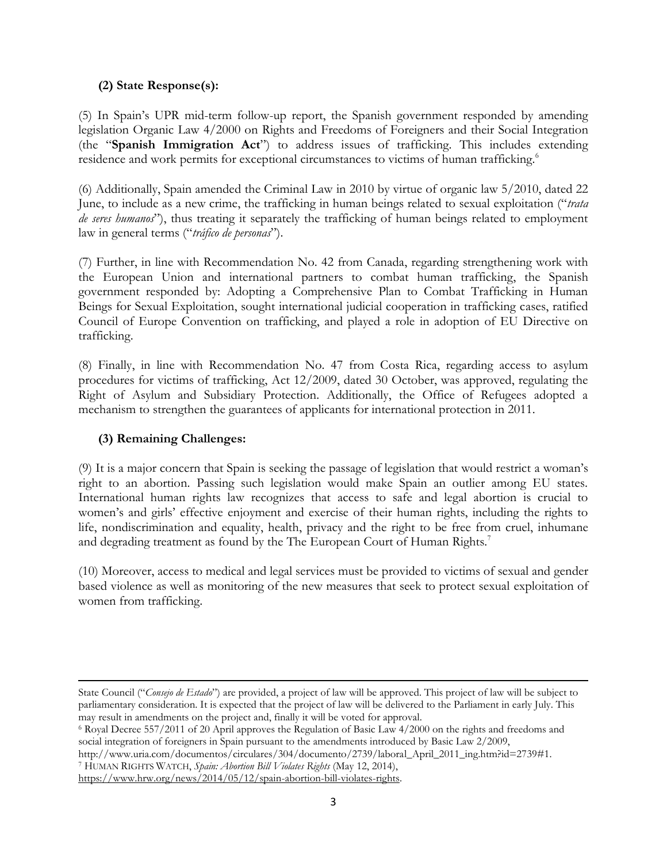### **(2) State Response(s):**

(5) In Spain's UPR mid-term follow-up report, the Spanish government responded by amending legislation Organic Law 4/2000 on Rights and Freedoms of Foreigners and their Social Integration (the "**Spanish Immigration Act**") to address issues of trafficking. This includes extending residence and work permits for exceptional circumstances to victims of human trafficking.<sup>6</sup>

(6) Additionally, Spain amended the Criminal Law in 2010 by virtue of organic law 5/2010, dated 22 June, to include as a new crime, the trafficking in human beings related to sexual exploitation ("*trata de seres humanos*"), thus treating it separately the trafficking of human beings related to employment law in general terms ("*tráfico de personas*").

(7) Further, in line with Recommendation No. 42 from Canada, regarding strengthening work with the European Union and international partners to combat human trafficking, the Spanish government responded by: Adopting a Comprehensive Plan to Combat Trafficking in Human Beings for Sexual Exploitation, sought international judicial cooperation in trafficking cases, ratified Council of Europe Convention on trafficking, and played a role in adoption of EU Directive on trafficking.

(8) Finally, in line with Recommendation No. 47 from Costa Rica, regarding access to asylum procedures for victims of trafficking, Act 12/2009, dated 30 October, was approved, regulating the Right of Asylum and Subsidiary Protection. Additionally, the Office of Refugees adopted a mechanism to strengthen the guarantees of applicants for international protection in 2011.

#### **(3) Remaining Challenges:**

(9) It is a major concern that Spain is seeking the passage of legislation that would restrict a woman's right to an abortion. Passing such legislation would make Spain an outlier among EU states. International human rights law recognizes that access to safe and legal abortion is crucial to women's and girls' effective enjoyment and exercise of their human rights, including the rights to life, nondiscrimination and equality, health, privacy and the right to be free from cruel, inhumane and degrading treatment as found by the The European Court of Human Rights.<sup>7</sup>

(10) Moreover, access to medical and legal services must be provided to victims of sexual and gender based violence as well as monitoring of the new measures that seek to protect sexual exploitation of women from trafficking.

l State Council ("*Consejo de Estado*") are provided, a project of law will be approved. This project of law will be subject to parliamentary consideration. It is expected that the project of law will be delivered to the Parliament in early July. This may result in amendments on the project and, finally it will be voted for approval.

<sup>6</sup> Royal Decree 557/2011 of 20 April approves the Regulation of Basic Law 4/2000 on the rights and freedoms and social integration of foreigners in Spain pursuant to the amendments introduced by Basic Law 2/2009,

http://www.uria.com/documentos/circulares/304/documento/2739/laboral\_April\_2011\_ing.htm?id=2739#1.

<sup>7</sup> HUMAN RIGHTS WATCH, *Spain: Abortion Bill Violates Rights* (May 12, 2014), [https://www.hrw.org/news/2014/05/12/spain-abortion-bill-violates-rights.](https://www.hrw.org/news/2014/05/12/spain-abortion-bill-violates-rights)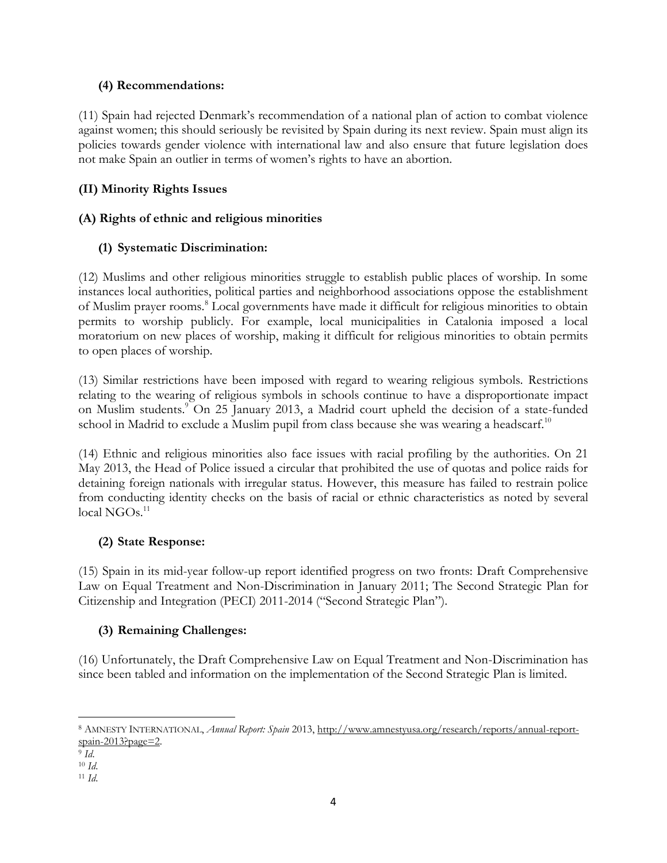### **(4) Recommendations:**

(11) Spain had rejected Denmark's recommendation of a national plan of action to combat violence against women; this should seriously be revisited by Spain during its next review. Spain must align its policies towards gender violence with international law and also ensure that future legislation does not make Spain an outlier in terms of women's rights to have an abortion.

## **(II) Minority Rights Issues**

## **(A) Rights of ethnic and religious minorities**

## **(1) Systematic Discrimination:**

(12) Muslims and other religious minorities struggle to establish public places of worship. In some instances local authorities, political parties and neighborhood associations oppose the establishment of Muslim prayer rooms.<sup>8</sup> Local governments have made it difficult for religious minorities to obtain permits to worship publicly. For example, local municipalities in Catalonia imposed a local moratorium on new places of worship, making it difficult for religious minorities to obtain permits to open places of worship.

(13) Similar restrictions have been imposed with regard to wearing religious symbols. Restrictions relating to the wearing of religious symbols in schools continue to have a disproportionate impact on Muslim students.<sup>9</sup> On 25 January 2013, a Madrid court upheld the decision of a state-funded school in Madrid to exclude a Muslim pupil from class because she was wearing a headscarf.<sup>10</sup>

(14) Ethnic and religious minorities also face issues with racial profiling by the authorities. On 21 May 2013, the Head of Police issued a circular that prohibited the use of quotas and police raids for detaining foreign nationals with irregular status. However, this measure has failed to restrain police from conducting identity checks on the basis of racial or ethnic characteristics as noted by several  $local NGOs.<sup>11</sup>$ 

## **(2) State Response:**

(15) Spain in its mid-year follow-up report identified progress on two fronts: Draft Comprehensive Law on Equal Treatment and Non-Discrimination in January 2011; The Second Strategic Plan for Citizenship and Integration (PECI) 2011-2014 ("Second Strategic Plan").

## **(3) Remaining Challenges:**

(16) Unfortunately, the Draft Comprehensive Law on Equal Treatment and Non-Discrimination has since been tabled and information on the implementation of the Second Strategic Plan is limited.

 $\overline{a}$ 

<sup>8</sup> AMNESTY INTERNATIONAL, *Annual Report: Spain* 2013, [http://www.amnestyusa.org/research/reports/annual-report](http://www.amnestyusa.org/research/reports/annual-report-spain-2013?page=2)[spain-2013?page=2.](http://www.amnestyusa.org/research/reports/annual-report-spain-2013?page=2)

<sup>9</sup> *Id*.

<sup>10</sup> *Id*.

<sup>11</sup> *Id*.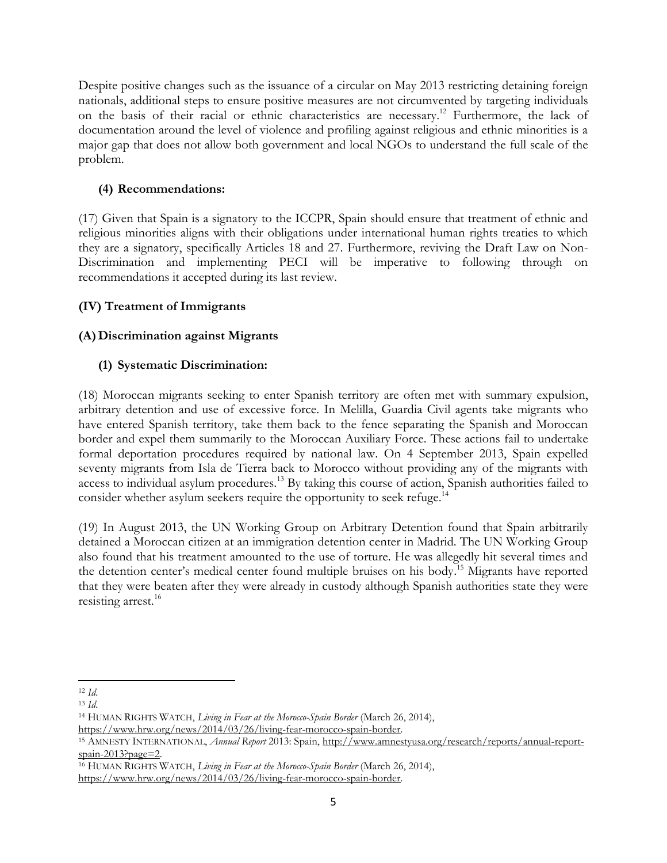Despite positive changes such as the issuance of a circular on May 2013 restricting detaining foreign nationals, additional steps to ensure positive measures are not circumvented by targeting individuals on the basis of their racial or ethnic characteristics are necessary.<sup>12</sup> Furthermore, the lack of documentation around the level of violence and profiling against religious and ethnic minorities is a major gap that does not allow both government and local NGOs to understand the full scale of the problem.

## **(4) Recommendations:**

(17) Given that Spain is a signatory to the ICCPR, Spain should ensure that treatment of ethnic and religious minorities aligns with their obligations under international human rights treaties to which they are a signatory, specifically Articles 18 and 27. Furthermore, reviving the Draft Law on Non-Discrimination and implementing PECI will be imperative to following through on recommendations it accepted during its last review.

### **(IV) Treatment of Immigrants**

## **(A)Discrimination against Migrants**

### **(1) Systematic Discrimination:**

(18) Moroccan migrants seeking to enter Spanish territory are often met with summary expulsion, arbitrary detention and use of excessive force. In Melilla, Guardia Civil agents take migrants who have entered Spanish territory, take them back to the fence separating the Spanish and Moroccan border and expel them summarily to the Moroccan Auxiliary Force. These actions fail to undertake formal deportation procedures required by national law. On 4 September 2013, Spain expelled seventy migrants from Isla de Tierra back to Morocco without providing any of the migrants with access to individual asylum procedures.<sup>13</sup> By taking this course of action, Spanish authorities failed to consider whether asylum seekers require the opportunity to seek refuge.<sup>14</sup>

(19) In August 2013, the UN Working Group on Arbitrary Detention found that Spain arbitrarily detained a Moroccan citizen at an immigration detention center in Madrid. The UN Working Group also found that his treatment amounted to the use of torture. He was allegedly hit several times and the detention center's medical center found multiple bruises on his body. <sup>15</sup> Migrants have reported that they were beaten after they were already in custody although Spanish authorities state they were resisting arrest. 16

[https://www.hrw.org/news/2014/03/26/living-fear-morocco-spain-border.](https://www.hrw.org/news/2014/03/26/living-fear-morocco-spain-border)

l <sup>12</sup> *Id*.

<sup>13</sup> *Id*.

<sup>14</sup> HUMAN RIGHTS WATCH, *Living in Fear at the Morocco-Spain Border* (March 26, 2014), [https://www.hrw.org/news/2014/03/26/living-fear-morocco-spain-border.](https://www.hrw.org/news/2014/03/26/living-fear-morocco-spain-border)

<sup>15</sup> AMNESTY INTERNATIONAL, *Annual Report* 2013: Spain, [http://www.amnestyusa.org/research/reports/annual-report](http://www.amnestyusa.org/research/reports/annual-report-spain-2013?page=2)[spain-2013?page=2.](http://www.amnestyusa.org/research/reports/annual-report-spain-2013?page=2)

<sup>16</sup> HUMAN RIGHTS WATCH, *Living in Fear at the Morocco-Spain Border* (March 26, 2014),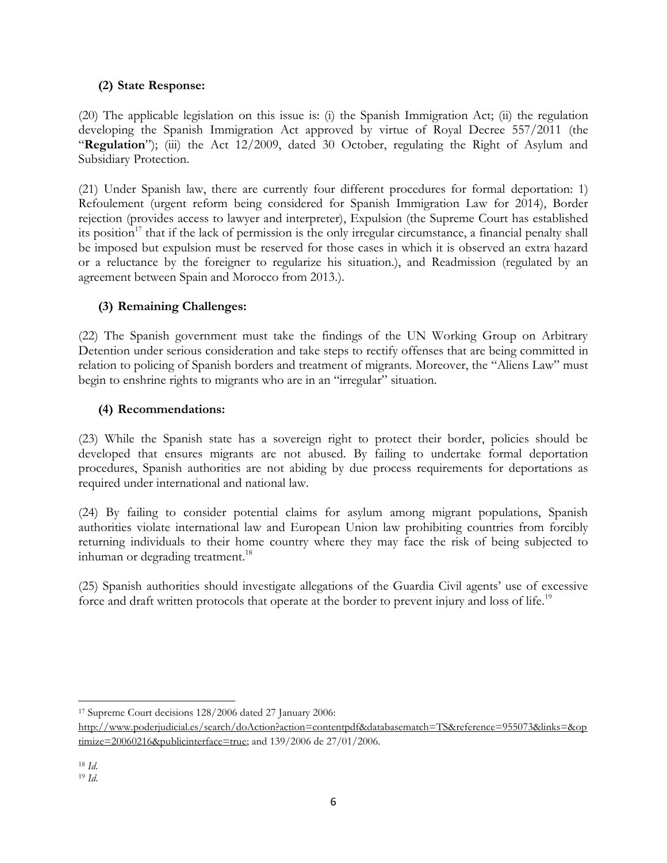## **(2) State Response:**

(20) The applicable legislation on this issue is: (i) the Spanish Immigration Act; (ii) the regulation developing the Spanish Immigration Act approved by virtue of Royal Decree 557/2011 (the "**Regulation**"); (iii) the Act 12/2009, dated 30 October, regulating the Right of Asylum and Subsidiary Protection.

(21) Under Spanish law, there are currently four different procedures for formal deportation: 1) Refoulement (urgent reform being considered for Spanish Immigration Law for 2014), Border rejection (provides access to lawyer and interpreter), Expulsion (the Supreme Court has established its position<sup>17</sup> that if the lack of permission is the only irregular circumstance, a financial penalty shall be imposed but expulsion must be reserved for those cases in which it is observed an extra hazard or a reluctance by the foreigner to regularize his situation.), and Readmission (regulated by an agreement between Spain and Morocco from 2013.).

## **(3) Remaining Challenges:**

(22) The Spanish government must take the findings of the UN Working Group on Arbitrary Detention under serious consideration and take steps to rectify offenses that are being committed in relation to policing of Spanish borders and treatment of migrants. Moreover, the "Aliens Law" must begin to enshrine rights to migrants who are in an "irregular" situation.

### **(4) Recommendations:**

(23) While the Spanish state has a sovereign right to protect their border, policies should be developed that ensures migrants are not abused. By failing to undertake formal deportation procedures, Spanish authorities are not abiding by due process requirements for deportations as required under international and national law.

(24) By failing to consider potential claims for asylum among migrant populations, Spanish authorities violate international law and European Union law prohibiting countries from forcibly returning individuals to their home country where they may face the risk of being subjected to inhuman or degrading treatment.<sup>18</sup>

(25) Spanish authorities should investigate allegations of the Guardia Civil agents' use of excessive force and draft written protocols that operate at the border to prevent injury and loss of life.<sup>19</sup>

 $\overline{a}$ <sup>17</sup> Supreme Court decisions 128/2006 dated 27 January 2006:

[http://www.poderjudicial.es/search/doAction?action=contentpdf&databasematch=TS&reference=955073&links=&op](http://www.poderjudicial.es/search/doAction?action=contentpdf&databasematch=TS&reference=955073&links=&optimize=20060216&publicinterface=true) [timize=20060216&publicinterface=true;](http://www.poderjudicial.es/search/doAction?action=contentpdf&databasematch=TS&reference=955073&links=&optimize=20060216&publicinterface=true) and 139/2006 de 27/01/2006.

<sup>18</sup> *Id*.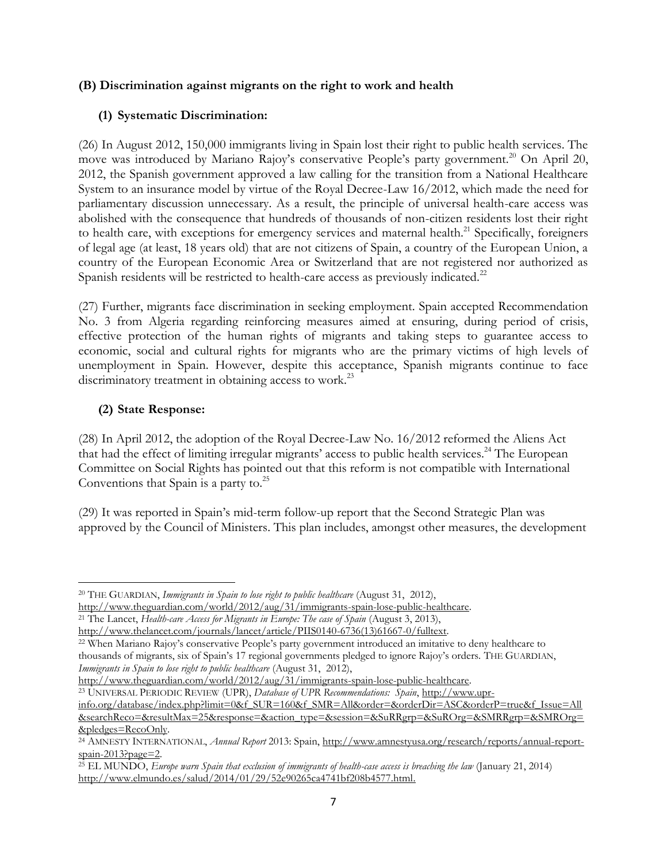#### **(B) Discrimination against migrants on the right to work and health**

### **(1) Systematic Discrimination:**

(26) In August 2012, 150,000 immigrants living in Spain lost their right to public health services. The move was introduced by Mariano Rajoy's conservative People's party government.<sup>20</sup> On April 20, 2012, the Spanish government approved a law calling for the transition from a National Healthcare System to an insurance model by virtue of the Royal Decree-Law 16/2012, which made the need for parliamentary discussion unnecessary. As a result, the principle of universal health-care access was abolished with the consequence that hundreds of thousands of non-citizen residents lost their right to health care, with exceptions for emergency services and maternal health.<sup>21</sup> Specifically, foreigners of legal age (at least, 18 years old) that are not citizens of Spain, a country of the European Union, a country of the European Economic Area or Switzerland that are not registered nor authorized as Spanish residents will be restricted to health-care access as previously indicated.<sup>22</sup>

(27) Further, migrants face discrimination in seeking employment. Spain accepted Recommendation No. 3 from Algeria regarding reinforcing measures aimed at ensuring, during period of crisis, effective protection of the human rights of migrants and taking steps to guarantee access to economic, social and cultural rights for migrants who are the primary victims of high levels of unemployment in Spain. However, despite this acceptance, Spanish migrants continue to face discriminatory treatment in obtaining access to work.<sup>23</sup>

## **(2) State Response:**

l

(28) In April 2012, the adoption of the Royal Decree-Law No. 16/2012 reformed the Aliens Act that had the effect of limiting irregular migrants' access to public health services.<sup>24</sup> The European Committee on Social Rights has pointed out that this reform is not compatible with International Conventions that Spain is a party to. $25$ 

(29) It was reported in Spain's mid-term follow-up report that the Second Strategic Plan was approved by the Council of Ministers. This plan includes, amongst other measures, the development

[http://www.theguardian.com/world/2012/aug/31/immigrants-spain-lose-public-healthcare.](http://www.theguardian.com/world/2012/aug/31/immigrants-spain-lose-public-healthcare) <sup>23</sup> UNIVERSAL PERIODIC REVIEW (UPR), *Database of UPR Recommendations: Spain*, [http://www.upr-](http://www.upr-info.org/database/index.php?limit=0&f_SUR=160&f_SMR=All&order=&orderDir=ASC&orderP=true&f_Issue=All&searchReco=&resultMax=25&response=&action_type=&session=&SuRRgrp=&SuROrg=&SMRRgrp=&SMROrg=&pledges=RecoOnly)

<sup>20</sup> THE GUARDIAN, *Immigrants in Spain to lose right to public healthcare* (August 31, 2012), [http://www.theguardian.com/world/2012/aug/31/immigrants-spain-lose-public-healthcare.](http://www.theguardian.com/world/2012/aug/31/immigrants-spain-lose-public-healthcare)

<sup>21</sup> The Lancet, *Health-care Access for Migrants in Europe: The case of Spain* (August 3, 2013), [http://www.thelancet.com/journals/lancet/article/PIIS0140-6736\(13\)61667-0/fulltext.](http://www.thelancet.com/journals/lancet/article/PIIS0140-6736(13)61667-0/fulltext)

<sup>&</sup>lt;sup>22</sup> When Mariano Rajoy's conservative People's party government introduced an imitative to deny healthcare to thousands of migrants, six of Spain's 17 regional governments pledged to ignore Rajoy's orders. THE GUARDIAN, *Immigrants in Spain to lose right to public healthcare* (August 31, 2012),

[info.org/database/index.php?limit=0&f\\_SUR=160&f\\_SMR=All&order=&orderDir=ASC&orderP=true&f\\_Issue=All](http://www.upr-info.org/database/index.php?limit=0&f_SUR=160&f_SMR=All&order=&orderDir=ASC&orderP=true&f_Issue=All&searchReco=&resultMax=25&response=&action_type=&session=&SuRRgrp=&SuROrg=&SMRRgrp=&SMROrg=&pledges=RecoOnly) [&searchReco=&resultMax=25&response=&action\\_type=&session=&SuRRgrp=&SuROrg=&SMRRgrp=&SMROrg=](http://www.upr-info.org/database/index.php?limit=0&f_SUR=160&f_SMR=All&order=&orderDir=ASC&orderP=true&f_Issue=All&searchReco=&resultMax=25&response=&action_type=&session=&SuRRgrp=&SuROrg=&SMRRgrp=&SMROrg=&pledges=RecoOnly) [&pledges=RecoOnly.](http://www.upr-info.org/database/index.php?limit=0&f_SUR=160&f_SMR=All&order=&orderDir=ASC&orderP=true&f_Issue=All&searchReco=&resultMax=25&response=&action_type=&session=&SuRRgrp=&SuROrg=&SMRRgrp=&SMROrg=&pledges=RecoOnly)

<sup>24</sup> AMNESTY INTERNATIONAL, *Annual Report* 2013: Spain, [http://www.amnestyusa.org/research/reports/annual-report](http://www.amnestyusa.org/research/reports/annual-report-spain-2013?page=2)[spain-2013?page=2.](http://www.amnestyusa.org/research/reports/annual-report-spain-2013?page=2)

<sup>25</sup> EL MUNDO, *Europe warn Spain that exclusion of immigrants of health-case access is breaching the law* (January 21, 2014) [http://www.elmundo.es/salud/2014/01/29/52e90265ca4741bf208b4577.html.](http://www.elmundo.es/salud/2014/01/29/52e90265ca4741bf208b4577.html)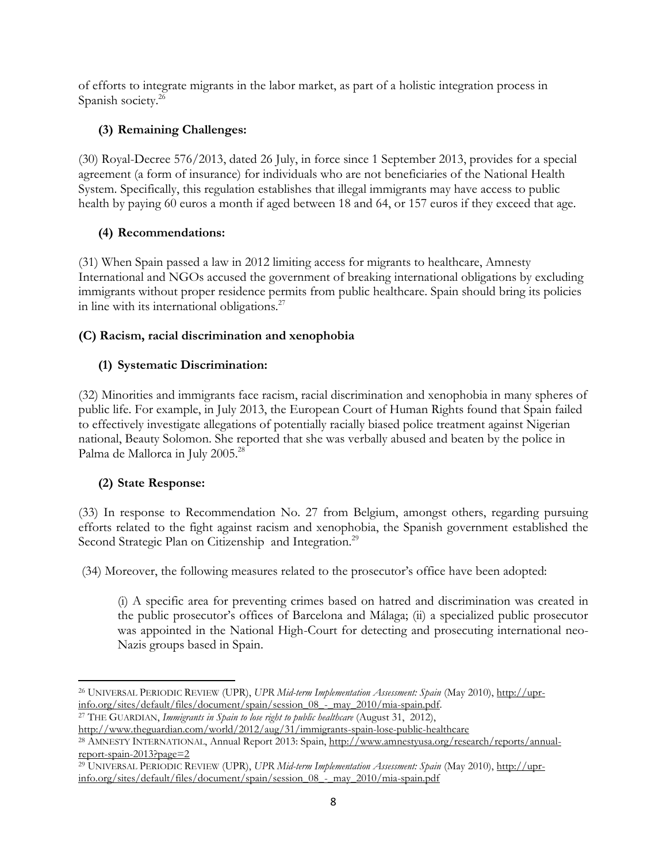of efforts to integrate migrants in the labor market, as part of a holistic integration process in Spanish society.<sup>26</sup>

## **(3) Remaining Challenges:**

(30) Royal-Decree 576/2013, dated 26 July, in force since 1 September 2013, provides for a special agreement (a form of insurance) for individuals who are not beneficiaries of the National Health System. Specifically, this regulation establishes that illegal immigrants may have access to public health by paying 60 euros a month if aged between 18 and 64, or 157 euros if they exceed that age.

## **(4) Recommendations:**

(31) When Spain passed a law in 2012 limiting access for migrants to healthcare, Amnesty International and NGOs accused the government of breaking international obligations by excluding immigrants without proper residence permits from public healthcare. Spain should bring its policies in line with its international obligations. $27$ 

## **(C) Racism, racial discrimination and xenophobia**

## **(1) Systematic Discrimination:**

(32) Minorities and immigrants face racism, racial discrimination and xenophobia in many spheres of public life. For example, in July 2013, the European Court of Human Rights found that Spain failed to effectively investigate allegations of potentially racially biased police treatment against Nigerian national, Beauty Solomon. She reported that she was verbally abused and beaten by the police in Palma de Mallorca in July 2005.<sup>28</sup>

## **(2) State Response:**

(33) In response to Recommendation No. 27 from Belgium, amongst others, regarding pursuing efforts related to the fight against racism and xenophobia, the Spanish government established the Second Strategic Plan on Citizenship and Integration.<sup>29</sup>

(34) Moreover, the following measures related to the prosecutor's office have been adopted:

(i) A specific area for preventing crimes based on hatred and discrimination was created in the public prosecutor's offices of Barcelona and Málaga; (ii) a specialized public prosecutor was appointed in the National High-Court for detecting and prosecuting international neo-Nazis groups based in Spain.

l <sup>26</sup> UNIVERSAL PERIODIC REVIEW (UPR), *UPR Mid-term Implementation Assessment: Spain* (May 2010), [http://upr](http://upr-info.org/sites/default/files/document/spain/session_08_-_may_2010/mia-spain.pdf)[info.org/sites/default/files/document/spain/session\\_08\\_-\\_may\\_2010/mia-spain.pdf.](http://upr-info.org/sites/default/files/document/spain/session_08_-_may_2010/mia-spain.pdf)

<sup>27</sup> THE GUARDIAN, *Immigrants in Spain to lose right to public healthcare* (August 31, 2012), <http://www.theguardian.com/world/2012/aug/31/immigrants-spain-lose-public-healthcare>

<sup>&</sup>lt;sup>28</sup> AMNESTY INTERNATIONAL, Annual Report 2013: Spain, [http://www.amnestyusa.org/research/reports/annual](http://www.amnestyusa.org/research/reports/annual-report-spain-2013?page=2)[report-spain-2013?page=2](http://www.amnestyusa.org/research/reports/annual-report-spain-2013?page=2)

<sup>29</sup> UNIVERSAL PERIODIC REVIEW (UPR), *UPR Mid-term Implementation Assessment: Spain* (May 2010), [http://upr](http://upr-info.org/sites/default/files/document/spain/session_08_-_may_2010/mia-spain.pdf)[info.org/sites/default/files/document/spain/session\\_08\\_-\\_may\\_2010/mia-spain.pdf](http://upr-info.org/sites/default/files/document/spain/session_08_-_may_2010/mia-spain.pdf)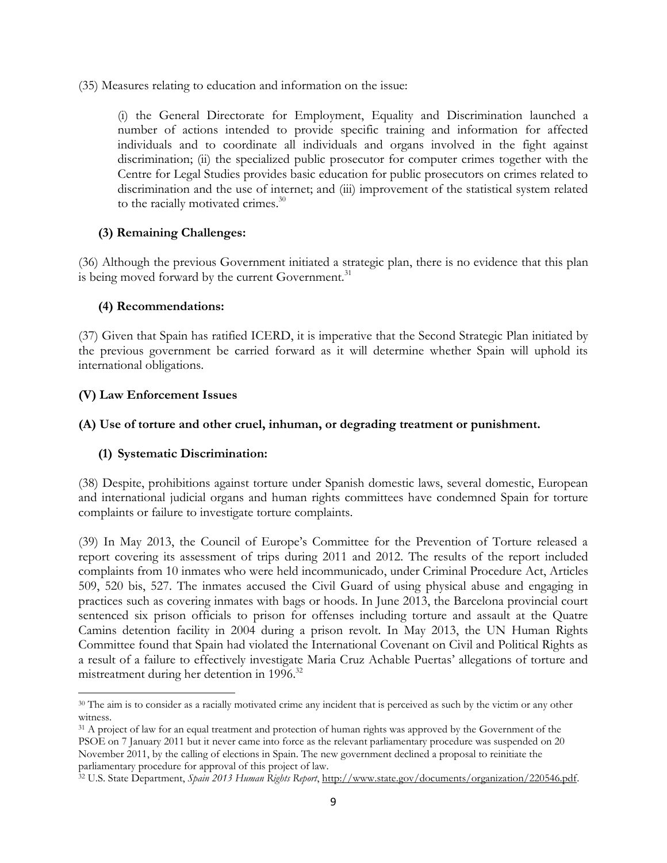(35) Measures relating to education and information on the issue:

(i) the General Directorate for Employment, Equality and Discrimination launched a number of actions intended to provide specific training and information for affected individuals and to coordinate all individuals and organs involved in the fight against discrimination; (ii) the specialized public prosecutor for computer crimes together with the Centre for Legal Studies provides basic education for public prosecutors on crimes related to discrimination and the use of internet; and (iii) improvement of the statistical system related to the racially motivated crimes.<sup>30</sup>

### **(3) Remaining Challenges:**

(36) Although the previous Government initiated a strategic plan, there is no evidence that this plan is being moved forward by the current Government.<sup>31</sup>

#### **(4) Recommendations:**

(37) Given that Spain has ratified ICERD, it is imperative that the Second Strategic Plan initiated by the previous government be carried forward as it will determine whether Spain will uphold its international obligations.

#### **(V) Law Enforcement Issues**

l

#### **(A) Use of torture and other cruel, inhuman, or degrading treatment or punishment.**

#### **(1) Systematic Discrimination:**

(38) Despite, prohibitions against torture under Spanish domestic laws, several domestic, European and international judicial organs and human rights committees have condemned Spain for torture complaints or failure to investigate torture complaints.

(39) In May 2013, the Council of Europe's Committee for the Prevention of Torture released a report covering its assessment of trips during 2011 and 2012. The results of the report included complaints from 10 inmates who were held incommunicado, under Criminal Procedure Act, Articles 509, 520 bis, 527. The inmates accused the Civil Guard of using physical abuse and engaging in practices such as covering inmates with bags or hoods. In June 2013, the Barcelona provincial court sentenced six prison officials to prison for offenses including torture and assault at the Quatre Camins detention facility in 2004 during a prison revolt. In May 2013, the UN Human Rights Committee found that Spain had violated the International Covenant on Civil and Political Rights as a result of a failure to effectively investigate Maria Cruz Achable Puertas' allegations of torture and mistreatment during her detention in 1996.<sup>32</sup>

<sup>&</sup>lt;sup>30</sup> The aim is to consider as a racially motivated crime any incident that is perceived as such by the victim or any other witness.

<sup>&</sup>lt;sup>31</sup> A project of law for an equal treatment and protection of human rights was approved by the Government of the PSOE on 7 January 2011 but it never came into force as the relevant parliamentary procedure was suspended on 20 November 2011, by the calling of elections in Spain. The new government declined a proposal to reinitiate the parliamentary procedure for approval of this project of law.

<sup>32</sup> U.S. State Department, *Spain 2013 Human Rights Report*, [http://www.state.gov/documents/organization/220546.pdf.](http://www.state.gov/documents/organization/220546.pdf)